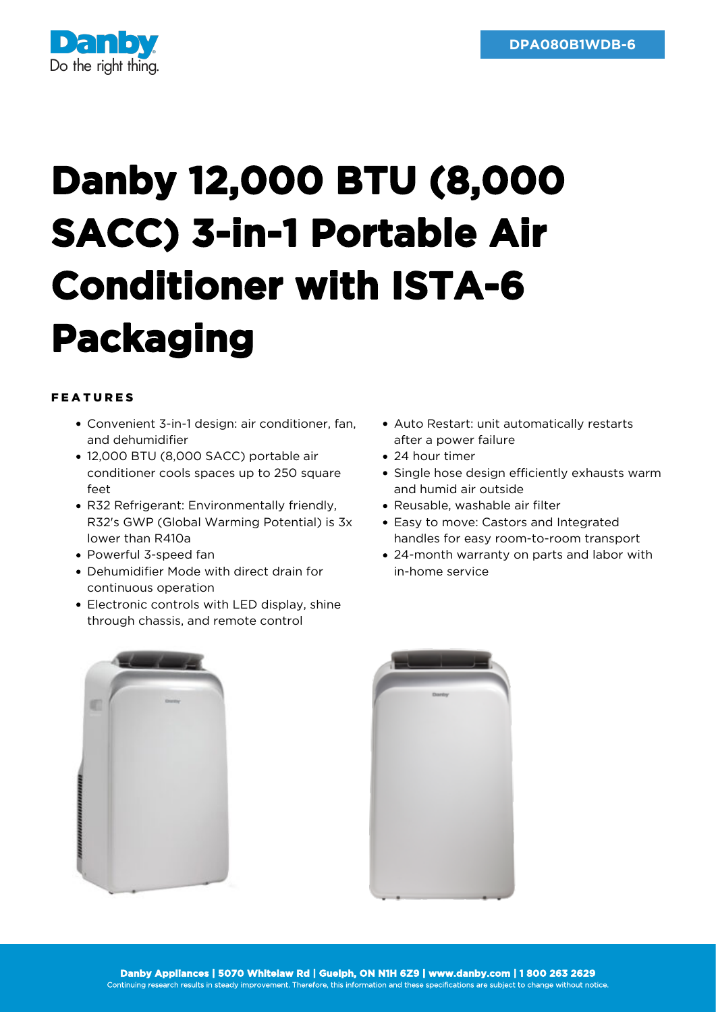

## **Danby 12,000 BTU (8,000 SACC) 3-in-1 Portable Air Conditioner with ISTA-6 Packaging**

## FEATURES

- Convenient 3-in-1 design: air conditioner, fan, and dehumidifier
- 12,000 BTU (8,000 SACC) portable air conditioner cools spaces up to 250 square feet
- R32 Refrigerant: Environmentally friendly, R32's GWP (Global Warming Potential) is 3x lower than R410a
- Powerful 3-speed fan
- Dehumidifier Mode with direct drain for continuous operation
- Electronic controls with LED display, shine through chassis, and remote control
- Auto Restart: unit automatically restarts after a power failure
- 24 hour timer
- Single hose design efficiently exhausts warm and humid air outside
- Reusable, washable air filter
- Easy to move: Castors and Integrated handles for easy room-to-room transport
- 24-month warranty on parts and labor with in-home service